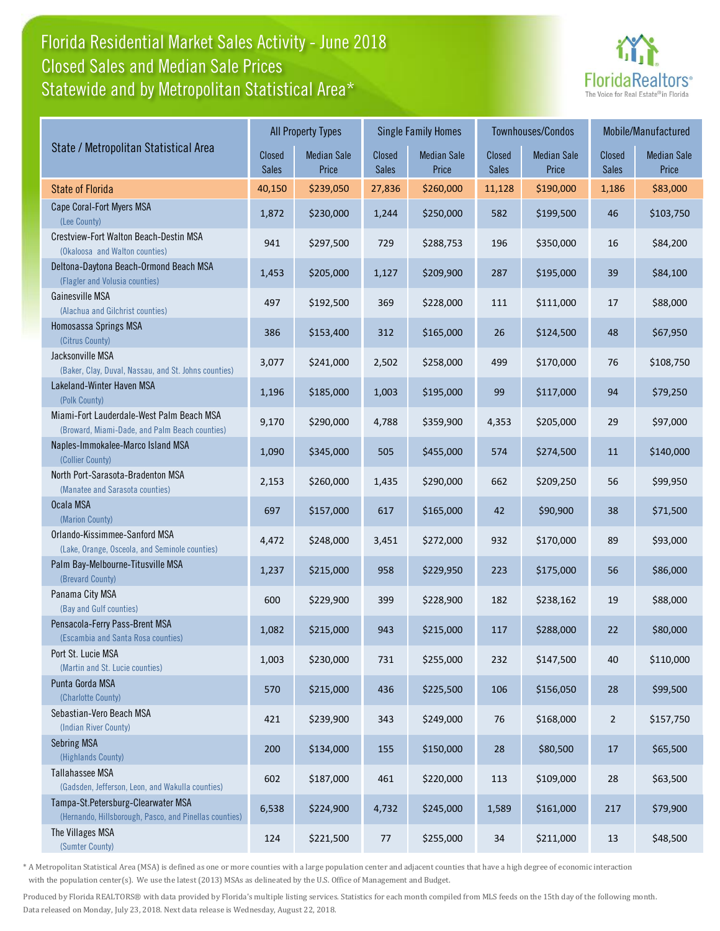### Florida Residential Market Sales Activity - June 2018 Statewide and by Metropolitan Statistical Area\* Closed Sales and Median Sale Prices



|                                                                                              |                        | <b>All Property Types</b>   |                        | <b>Single Family Homes</b>  |                 | Townhouses/Condos           | Mobile/Manufactured |                             |
|----------------------------------------------------------------------------------------------|------------------------|-----------------------------|------------------------|-----------------------------|-----------------|-----------------------------|---------------------|-----------------------------|
| State / Metropolitan Statistical Area                                                        | Closed<br><b>Sales</b> | <b>Median Sale</b><br>Price | Closed<br><b>Sales</b> | <b>Median Sale</b><br>Price | Closed<br>Sales | <b>Median Sale</b><br>Price | Closed<br>Sales     | <b>Median Sale</b><br>Price |
| <b>State of Florida</b>                                                                      | 40,150                 | \$239,050                   | 27,836                 | \$260,000                   | 11,128          | \$190,000                   | 1,186               | \$83,000                    |
| Cape Coral-Fort Myers MSA<br>(Lee County)                                                    | 1,872                  | \$230,000                   | 1,244                  | \$250,000                   | 582             | \$199,500                   | 46                  | \$103,750                   |
| Crestview-Fort Walton Beach-Destin MSA<br>(Okaloosa and Walton counties)                     | 941                    | \$297,500                   | 729                    | \$288,753                   | 196             | \$350,000                   | 16                  | \$84,200                    |
| Deltona-Daytona Beach-Ormond Beach MSA<br>(Flagler and Volusia counties)                     | 1,453                  | \$205,000                   | 1,127                  | \$209,900                   | 287             | \$195,000                   | 39                  | \$84,100                    |
| Gainesville MSA<br>(Alachua and Gilchrist counties)                                          | 497                    | \$192,500                   | 369                    | \$228,000                   | 111             | \$111,000                   | 17                  | \$88,000                    |
| Homosassa Springs MSA<br>(Citrus County)                                                     | 386                    | \$153,400                   | 312                    | \$165,000                   | 26              | \$124,500                   | 48                  | \$67,950                    |
| Jacksonville MSA<br>(Baker, Clay, Duval, Nassau, and St. Johns counties)                     | 3,077                  | \$241,000                   | 2,502                  | \$258,000                   | 499             | \$170,000                   | 76                  | \$108,750                   |
| Lakeland-Winter Haven MSA<br>(Polk County)                                                   | 1,196                  | \$185,000                   | 1,003                  | \$195,000                   | 99              | \$117,000                   | 94                  | \$79,250                    |
| Miami-Fort Lauderdale-West Palm Beach MSA<br>(Broward, Miami-Dade, and Palm Beach counties)  | 9,170                  | \$290,000                   | 4,788                  | \$359,900                   | 4,353           | \$205,000                   | 29                  | \$97,000                    |
| Naples-Immokalee-Marco Island MSA<br>(Collier County)                                        | 1,090                  | \$345,000                   | 505                    | \$455,000                   | 574             | \$274,500                   | 11                  | \$140,000                   |
| North Port-Sarasota-Bradenton MSA<br>(Manatee and Sarasota counties)                         | 2,153                  | \$260,000                   | 1,435                  | \$290,000                   | 662             | \$209,250                   | 56                  | \$99,950                    |
| Ocala MSA<br>(Marion County)                                                                 | 697                    | \$157,000                   | 617                    | \$165,000                   | 42              | \$90,900                    | 38                  | \$71,500                    |
| Orlando-Kissimmee-Sanford MSA<br>(Lake, Orange, Osceola, and Seminole counties)              | 4,472                  | \$248,000                   | 3,451                  | \$272,000                   | 932             | \$170,000                   | 89                  | \$93,000                    |
| Palm Bay-Melbourne-Titusville MSA<br>(Brevard County)                                        | 1,237                  | \$215,000                   | 958                    | \$229,950                   | 223             | \$175,000                   | 56                  | \$86,000                    |
| Panama City MSA<br>(Bay and Gulf counties)                                                   | 600                    | \$229,900                   | 399                    | \$228,900                   | 182             | \$238,162                   | 19                  | \$88,000                    |
| Pensacola-Ferry Pass-Brent MSA<br>(Escambia and Santa Rosa counties)                         | 1,082                  | \$215,000                   | 943                    | \$215,000                   | 117             | \$288,000                   | 22                  | \$80,000                    |
| Port St. Lucie MSA<br>(Martin and St. Lucie counties)                                        | 1,003                  | \$230,000                   | 731                    | \$255,000                   | 232             | \$147,500                   | 40                  | \$110,000                   |
| Punta Gorda MSA<br>(Charlotte County)                                                        | 570                    | \$215,000                   | 436                    | \$225,500                   | 106             | \$156,050                   | 28                  | \$99,500                    |
| Sebastian-Vero Beach MSA<br>(Indian River County)                                            | 421                    | \$239,900                   | 343                    | \$249,000                   | 76              | \$168,000                   | $\overline{2}$      | \$157,750                   |
| Sebring MSA<br>(Highlands County)                                                            | 200                    | \$134,000                   | 155                    | \$150,000                   | 28              | \$80,500                    | 17                  | \$65,500                    |
| Tallahassee MSA<br>(Gadsden, Jefferson, Leon, and Wakulla counties)                          | 602                    | \$187,000                   | 461                    | \$220,000                   | 113             | \$109,000                   | 28                  | \$63,500                    |
| Tampa-St.Petersburg-Clearwater MSA<br>(Hernando, Hillsborough, Pasco, and Pinellas counties) | 6,538                  | \$224,900                   | 4,732                  | \$245,000                   | 1,589           | \$161,000                   | 217                 | \$79,900                    |
| The Villages MSA<br>(Sumter County)                                                          | 124                    | \$221,500                   | 77                     | \$255,000                   | 34              | \$211,000                   | 13                  | \$48,500                    |

\* A Metropolitan Statistical Area (MSA) is defined as one or more counties with a large population center and adjacent counties that have a high degree of economic interaction with the population center(s). We use the latest (2013) MSAs as delineated by the U.S. Office of Management and Budget.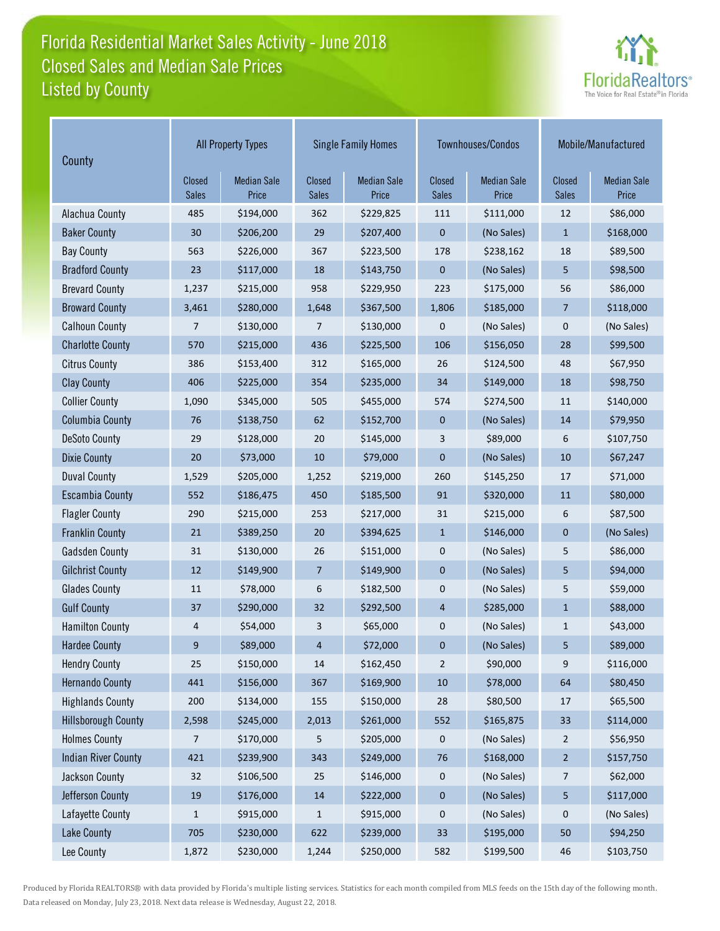## Florida Residential Market Sales Activity - June 2018 Listed by County Closed Sales and Median Sale Prices



| County                     | <b>All Property Types</b> |                             |                        | <b>Single Family Homes</b>  |                               | Townhouses/Condos           | Mobile/Manufactured           |                             |
|----------------------------|---------------------------|-----------------------------|------------------------|-----------------------------|-------------------------------|-----------------------------|-------------------------------|-----------------------------|
|                            | Closed<br><b>Sales</b>    | <b>Median Sale</b><br>Price | Closed<br><b>Sales</b> | <b>Median Sale</b><br>Price | <b>Closed</b><br><b>Sales</b> | <b>Median Sale</b><br>Price | <b>Closed</b><br><b>Sales</b> | <b>Median Sale</b><br>Price |
| Alachua County             | 485                       | \$194,000                   | 362                    | \$229,825                   | 111                           | \$111,000                   | 12                            | \$86,000                    |
| <b>Baker County</b>        | 30                        | \$206,200                   | 29                     | \$207,400                   | 0                             | (No Sales)                  | $\mathbf{1}$                  | \$168,000                   |
| <b>Bay County</b>          | 563                       | \$226,000                   | 367                    | \$223,500                   | 178                           | \$238,162                   | 18                            | \$89,500                    |
| <b>Bradford County</b>     | 23                        | \$117,000                   | 18                     | \$143,750                   | 0                             | (No Sales)                  | 5                             | \$98,500                    |
| <b>Brevard County</b>      | 1,237                     | \$215,000                   | 958                    | \$229,950                   | 223                           | \$175,000                   | 56                            | \$86,000                    |
| <b>Broward County</b>      | 3,461                     | \$280,000                   | 1,648                  | \$367,500                   | 1,806                         | \$185,000                   | $\overline{7}$                | \$118,000                   |
| <b>Calhoun County</b>      | 7                         | \$130,000                   | 7                      | \$130,000                   | 0                             | (No Sales)                  | $\pmb{0}$                     | (No Sales)                  |
| <b>Charlotte County</b>    | 570                       | \$215,000                   | 436                    | \$225,500                   | 106                           | \$156,050                   | 28                            | \$99,500                    |
| <b>Citrus County</b>       | 386                       | \$153,400                   | 312                    | \$165,000                   | 26                            | \$124,500                   | 48                            | \$67,950                    |
| <b>Clay County</b>         | 406                       | \$225,000                   | 354                    | \$235,000                   | 34                            | \$149,000                   | 18                            | \$98,750                    |
| <b>Collier County</b>      | 1,090                     | \$345,000                   | 505                    | \$455,000                   | 574                           | \$274,500                   | 11                            | \$140,000                   |
| <b>Columbia County</b>     | 76                        | \$138,750                   | 62                     | \$152,700                   | 0                             | (No Sales)                  | 14                            | \$79,950                    |
| <b>DeSoto County</b>       | 29                        | \$128,000                   | 20                     | \$145,000                   | 3                             | \$89,000                    | 6                             | \$107,750                   |
| <b>Dixie County</b>        | 20                        | \$73,000                    | 10                     | \$79,000                    | 0                             | (No Sales)                  | 10                            | \$67,247                    |
| <b>Duval County</b>        | 1,529                     | \$205,000                   | 1,252                  | \$219,000                   | 260                           | \$145,250                   | 17                            | \$71,000                    |
| <b>Escambia County</b>     | 552                       | \$186,475                   | 450                    | \$185,500                   | 91                            | \$320,000                   | $11\,$                        | \$80,000                    |
| <b>Flagler County</b>      | 290                       | \$215,000                   | 253                    | \$217,000                   | 31                            | \$215,000                   | 6                             | \$87,500                    |
| <b>Franklin County</b>     | 21                        | \$389,250                   | 20                     | \$394,625                   | $\mathbf{1}$                  | \$146,000                   | $\mathbf 0$                   | (No Sales)                  |
| <b>Gadsden County</b>      | 31                        | \$130,000                   | 26                     | \$151,000                   | 0                             | (No Sales)                  | 5                             | \$86,000                    |
| <b>Gilchrist County</b>    | 12                        | \$149,900                   | 7                      | \$149,900                   | 0                             | (No Sales)                  | 5                             | \$94,000                    |
| <b>Glades County</b>       | 11                        | \$78,000                    | 6                      | \$182,500                   | 0                             | (No Sales)                  | 5                             | \$59,000                    |
| <b>Gulf County</b>         | 37                        | \$290,000                   | 32                     | \$292,500                   | 4                             | \$285,000                   | $\mathbf{1}$                  | \$88,000                    |
| <b>Hamilton County</b>     | 4                         | \$54,000                    | 3                      | \$65,000                    | 0                             | (No Sales)                  | $\mathbf{1}$                  | \$43,000                    |
| <b>Hardee County</b>       | 9                         | \$89,000                    | 4                      | \$72,000                    | 0                             | (No Sales)                  | 5                             | \$89,000                    |
| <b>Hendry County</b>       | 25                        | \$150,000                   | 14                     | \$162,450                   | $\overline{2}$                | \$90,000                    | 9                             | \$116,000                   |
| <b>Hernando County</b>     | 441                       | \$156,000                   | 367                    | \$169,900                   | $10\,$                        | \$78,000                    | 64                            | \$80,450                    |
| <b>Highlands County</b>    | 200                       | \$134,000                   | 155                    | \$150,000                   | 28                            | \$80,500                    | 17                            | \$65,500                    |
| <b>Hillsborough County</b> | 2,598                     | \$245,000                   | 2,013                  | \$261,000                   | 552                           | \$165,875                   | 33                            | \$114,000                   |
| <b>Holmes County</b>       | 7                         | \$170,000                   | 5                      | \$205,000                   | 0                             | (No Sales)                  | $\overline{2}$                | \$56,950                    |
| <b>Indian River County</b> | 421                       | \$239,900                   | 343                    | \$249,000                   | 76                            | \$168,000                   | $\overline{2}$                | \$157,750                   |
| Jackson County             | 32                        | \$106,500                   | 25                     | \$146,000                   | 0                             | (No Sales)                  | 7                             | \$62,000                    |
| Jefferson County           | 19                        | \$176,000                   | $14\,$                 | \$222,000                   | 0                             | (No Sales)                  | 5                             | \$117,000                   |
| Lafayette County           | 1                         | \$915,000                   | $\mathbf{1}$           | \$915,000                   | 0                             | (No Sales)                  | $\pmb{0}$                     | (No Sales)                  |
| Lake County                | 705                       | \$230,000                   | 622                    | \$239,000                   | 33                            | \$195,000                   | 50                            | \$94,250                    |
| Lee County                 | 1,872                     | \$230,000                   | 1,244                  | \$250,000                   | 582                           | \$199,500                   | 46                            | \$103,750                   |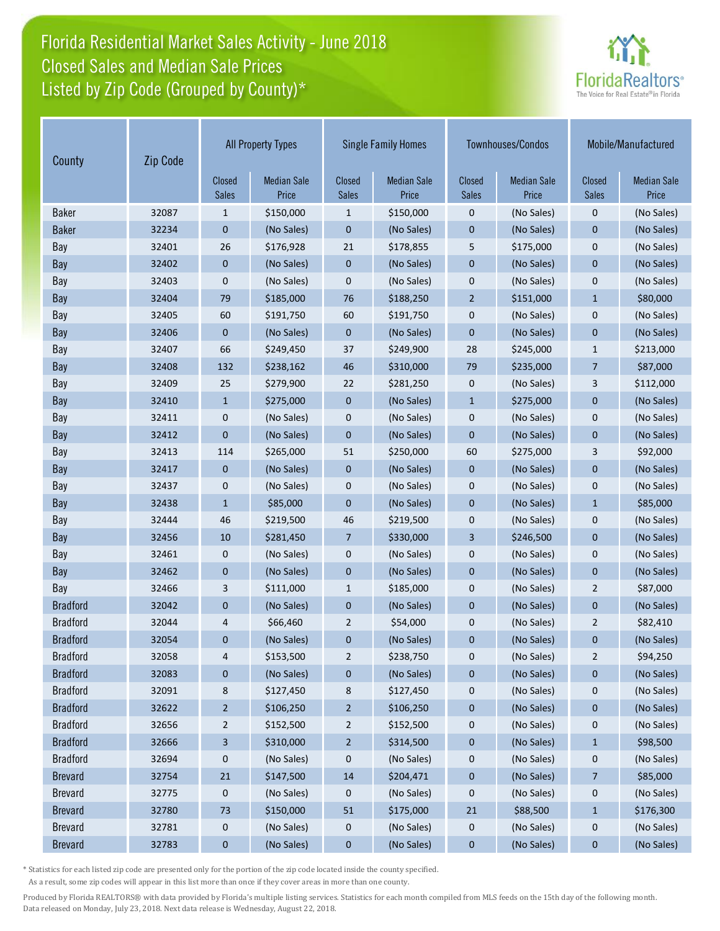# Florida Residential Market Sales Activity - June 2018 Listed by Zip Code (Grouped by County)\* Closed Sales and Median Sale Prices



| Zip Code<br>County |       | <b>All Property Types</b> |                             | <b>Single Family Homes</b> |                             |                        | Townhouses/Condos           | Mobile/Manufactured    |                             |
|--------------------|-------|---------------------------|-----------------------------|----------------------------|-----------------------------|------------------------|-----------------------------|------------------------|-----------------------------|
|                    |       | Closed<br><b>Sales</b>    | <b>Median Sale</b><br>Price | Closed<br><b>Sales</b>     | <b>Median Sale</b><br>Price | Closed<br><b>Sales</b> | <b>Median Sale</b><br>Price | Closed<br><b>Sales</b> | <b>Median Sale</b><br>Price |
| <b>Baker</b>       | 32087 | 1                         | \$150,000                   | 1                          | \$150,000                   | 0                      | (No Sales)                  | $\pmb{0}$              | (No Sales)                  |
| <b>Baker</b>       | 32234 | 0                         | (No Sales)                  | $\bf{0}$                   | (No Sales)                  | 0                      | (No Sales)                  | $\mathbf 0$            | (No Sales)                  |
| Bay                | 32401 | 26                        | \$176,928                   | 21                         | \$178,855                   | 5                      | \$175,000                   | $\mathbf 0$            | (No Sales)                  |
| Bay                | 32402 | $\mathbf 0$               | (No Sales)                  | $\mathbf 0$                | (No Sales)                  | $\mathbf 0$            | (No Sales)                  | $\mathbf 0$            | (No Sales)                  |
| Bay                | 32403 | 0                         | (No Sales)                  | $\mathbf 0$                | (No Sales)                  | 0                      | (No Sales)                  | $\mathbf 0$            | (No Sales)                  |
| Bay                | 32404 | 79                        | \$185,000                   | 76                         | \$188,250                   | $\overline{2}$         | \$151,000                   | $\mathbf{1}$           | \$80,000                    |
| Bay                | 32405 | 60                        | \$191,750                   | 60                         | \$191,750                   | 0                      | (No Sales)                  | $\mathbf 0$            | (No Sales)                  |
| Bay                | 32406 | $\mathbf 0$               | (No Sales)                  | $\mathbf 0$                | (No Sales)                  | $\mathbf 0$            | (No Sales)                  | $\mathbf 0$            | (No Sales)                  |
| Bay                | 32407 | 66                        | \$249,450                   | 37                         | \$249,900                   | 28                     | \$245,000                   | $\mathbf{1}$           | \$213,000                   |
| Bay                | 32408 | 132                       | \$238,162                   | 46                         | \$310,000                   | 79                     | \$235,000                   | $\overline{7}$         | \$87,000                    |
| Bay                | 32409 | 25                        | \$279,900                   | 22                         | \$281,250                   | 0                      | (No Sales)                  | 3                      | \$112,000                   |
| Bay                | 32410 | $\mathbf{1}$              | \$275,000                   | $\mathbf 0$                | (No Sales)                  | $\mathbf{1}$           | \$275,000                   | $\mathbf 0$            | (No Sales)                  |
| Bay                | 32411 | $\mathbf 0$               | (No Sales)                  | 0                          | (No Sales)                  | 0                      | (No Sales)                  | 0                      | (No Sales)                  |
| Bay                | 32412 | $\mathbf 0$               | (No Sales)                  | $\mathbf 0$                | (No Sales)                  | $\mathbf 0$            | (No Sales)                  | $\mathbf 0$            | (No Sales)                  |
| Bay                | 32413 | 114                       | \$265,000                   | 51                         | \$250,000                   | 60                     | \$275,000                   | 3                      | \$92,000                    |
| Bay                | 32417 | $\mathbf 0$               | (No Sales)                  | $\mathbf 0$                | (No Sales)                  | $\mathbf 0$            | (No Sales)                  | $\mathbf 0$            | (No Sales)                  |
| Bay                | 32437 | 0                         | (No Sales)                  | 0                          | (No Sales)                  | 0                      | (No Sales)                  | $\mathbf 0$            | (No Sales)                  |
| Bay                | 32438 | $\mathbf{1}$              | \$85,000                    | $\mathbf 0$                | (No Sales)                  | $\mathbf 0$            | (No Sales)                  | $\mathbf{1}$           | \$85,000                    |
| Bay                | 32444 | 46                        | \$219,500                   | 46                         | \$219,500                   | 0                      | (No Sales)                  | 0                      | (No Sales)                  |
| Bay                | 32456 | 10                        | \$281,450                   | $\overline{7}$             | \$330,000                   | 3                      | \$246,500                   | $\mathbf{0}$           | (No Sales)                  |
| Bay                | 32461 | 0                         | (No Sales)                  | 0                          | (No Sales)                  | 0                      | (No Sales)                  | $\mathbf 0$            | (No Sales)                  |
| Bay                | 32462 | 0                         | (No Sales)                  | $\mathbf 0$                | (No Sales)                  | $\mathbf 0$            | (No Sales)                  | $\mathbf{0}$           | (No Sales)                  |
| Bay                | 32466 | 3                         | \$111,000                   | $\mathbf{1}$               | \$185,000                   | 0                      | (No Sales)                  | $\overline{2}$         | \$87,000                    |
| <b>Bradford</b>    | 32042 | 0                         | (No Sales)                  | $\bf{0}$                   | (No Sales)                  | 0                      | (No Sales)                  | $\mathbf 0$            | (No Sales)                  |
| <b>Bradford</b>    | 32044 | 4                         | \$66,460                    | $\overline{2}$             | \$54,000                    | 0                      | (No Sales)                  | $\overline{2}$         | \$82,410                    |
| <b>Bradford</b>    | 32054 | 0                         | (No Sales)                  | 0                          | (No Sales)                  | 0                      | (No Sales)                  | $\mathbf 0$            | (No Sales)                  |
| <b>Bradford</b>    | 32058 | 4                         | \$153,500                   | $\overline{2}$             | \$238,750                   | 0                      | (No Sales)                  | $\overline{2}$         | \$94,250                    |
| <b>Bradford</b>    | 32083 | $\bf{0}$                  | (No Sales)                  | 0                          | (No Sales)                  | $\mathbf 0$            | (No Sales)                  | $\pmb{0}$              | (No Sales)                  |
| <b>Bradford</b>    | 32091 | 8                         | \$127,450                   | 8                          | \$127,450                   | 0                      | (No Sales)                  | 0                      | (No Sales)                  |
| <b>Bradford</b>    | 32622 | $\overline{2}$            | \$106,250                   | $\overline{c}$             | \$106,250                   | $\pmb{0}$              | (No Sales)                  | $\pmb{0}$              | (No Sales)                  |
| <b>Bradford</b>    | 32656 | $\overline{2}$            | \$152,500                   | $\overline{c}$             | \$152,500                   | 0                      | (No Sales)                  | 0                      | (No Sales)                  |
| <b>Bradford</b>    | 32666 | 3                         | \$310,000                   | $\overline{c}$             | \$314,500                   | $\pmb{0}$              | (No Sales)                  | $\mathbf{1}$           | \$98,500                    |
| <b>Bradford</b>    | 32694 | $\mathbf 0$               | (No Sales)                  | 0                          | (No Sales)                  | 0                      | (No Sales)                  | 0                      | (No Sales)                  |
| <b>Brevard</b>     | 32754 | 21                        | \$147,500                   | 14                         | \$204,471                   | $\mathbf 0$            | (No Sales)                  | 7                      | \$85,000                    |
| <b>Brevard</b>     | 32775 | 0                         | (No Sales)                  | 0                          | (No Sales)                  | 0                      | (No Sales)                  | 0                      | (No Sales)                  |
| <b>Brevard</b>     | 32780 | 73                        | \$150,000                   | 51                         | \$175,000                   | 21                     | \$88,500                    | $\mathbf{1}$           | \$176,300                   |
| <b>Brevard</b>     | 32781 | $\mathbf 0$               | (No Sales)                  | 0                          | (No Sales)                  | $\mathbf 0$            | (No Sales)                  | $\mathbf 0$            | (No Sales)                  |
| <b>Brevard</b>     | 32783 | $\bf{0}$                  | (No Sales)                  | $\boldsymbol{0}$           | (No Sales)                  | 0                      | (No Sales)                  | 0                      | (No Sales)                  |

\* Statistics for each listed zip code are presented only for the portion of the zip code located inside the county specified.

As a result, some zip codes will appear in this list more than once if they cover areas in more than one county.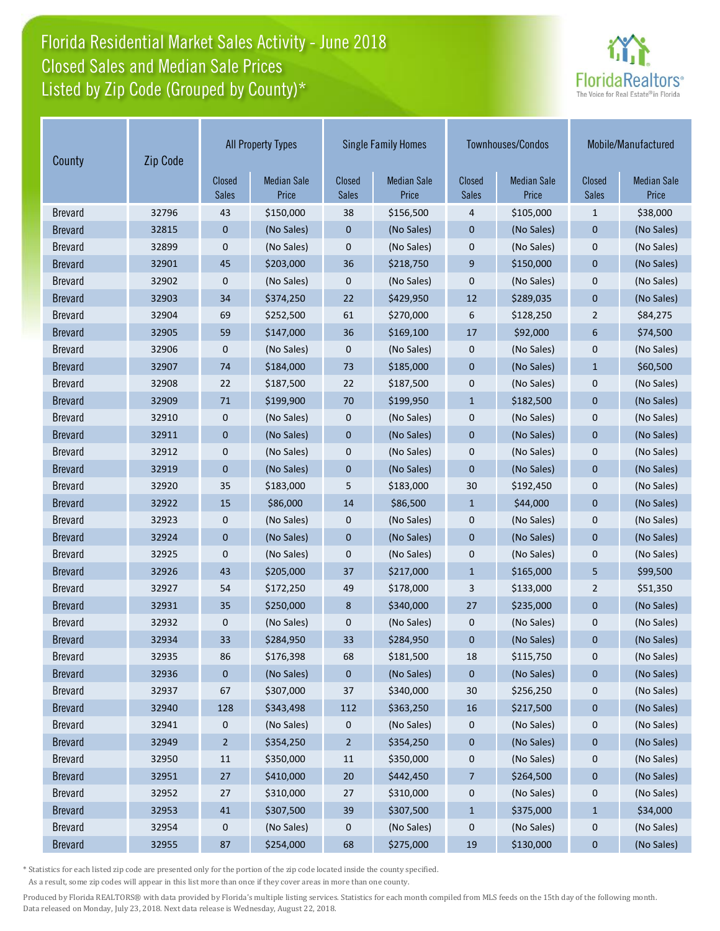## Florida Residential Market Sales Activity - June 2018 Listed by Zip Code (Grouped by County)\* Closed Sales and Median Sale Prices



| County         | Zip Code | <b>All Property Types</b> |                             | <b>Single Family Homes</b>    |                             |                               | Townhouses/Condos           | Mobile/Manufactured           |                             |
|----------------|----------|---------------------------|-----------------------------|-------------------------------|-----------------------------|-------------------------------|-----------------------------|-------------------------------|-----------------------------|
|                |          | Closed<br><b>Sales</b>    | <b>Median Sale</b><br>Price | <b>Closed</b><br><b>Sales</b> | <b>Median Sale</b><br>Price | <b>Closed</b><br><b>Sales</b> | <b>Median Sale</b><br>Price | <b>Closed</b><br><b>Sales</b> | <b>Median Sale</b><br>Price |
| <b>Brevard</b> | 32796    | 43                        | \$150,000                   | 38                            | \$156,500                   | 4                             | \$105,000                   | $\mathbf{1}$                  | \$38,000                    |
| <b>Brevard</b> | 32815    | 0                         | (No Sales)                  | 0                             | (No Sales)                  | $\mathbf 0$                   | (No Sales)                  | $\mathbf 0$                   | (No Sales)                  |
| <b>Brevard</b> | 32899    | 0                         | (No Sales)                  | 0                             | (No Sales)                  | $\boldsymbol{0}$              | (No Sales)                  | $\mathbf 0$                   | (No Sales)                  |
| <b>Brevard</b> | 32901    | 45                        | \$203,000                   | 36                            | \$218,750                   | $\boldsymbol{9}$              | \$150,000                   | $\mathbf 0$                   | (No Sales)                  |
| <b>Brevard</b> | 32902    | 0                         | (No Sales)                  | 0                             | (No Sales)                  | $\bf 0$                       | (No Sales)                  | $\mathbf 0$                   | (No Sales)                  |
| <b>Brevard</b> | 32903    | 34                        | \$374,250                   | 22                            | \$429,950                   | 12                            | \$289,035                   | $\mathbf 0$                   | (No Sales)                  |
| <b>Brevard</b> | 32904    | 69                        | \$252,500                   | 61                            | \$270,000                   | 6                             | \$128,250                   | $\overline{2}$                | \$84,275                    |
| <b>Brevard</b> | 32905    | 59                        | \$147,000                   | 36                            | \$169,100                   | 17                            | \$92,000                    | 6                             | \$74,500                    |
| <b>Brevard</b> | 32906    | 0                         | (No Sales)                  | 0                             | (No Sales)                  | 0                             | (No Sales)                  | $\mathbf 0$                   | (No Sales)                  |
| <b>Brevard</b> | 32907    | 74                        | \$184,000                   | 73                            | \$185,000                   | $\mathbf 0$                   | (No Sales)                  | $\mathbf{1}$                  | \$60,500                    |
| <b>Brevard</b> | 32908    | 22                        | \$187,500                   | 22                            | \$187,500                   | $\mathbf 0$                   | (No Sales)                  | $\mathbf 0$                   | (No Sales)                  |
| <b>Brevard</b> | 32909    | 71                        | \$199,900                   | 70                            | \$199,950                   | $\mathbf{1}$                  | \$182,500                   | $\mathbf 0$                   | (No Sales)                  |
| <b>Brevard</b> | 32910    | 0                         | (No Sales)                  | 0                             | (No Sales)                  | 0                             | (No Sales)                  | 0                             | (No Sales)                  |
| <b>Brevard</b> | 32911    | 0                         | (No Sales)                  | $\mathbf 0$                   | (No Sales)                  | $\mathbf 0$                   | (No Sales)                  | $\mathbf 0$                   | (No Sales)                  |
| <b>Brevard</b> | 32912    | 0                         | (No Sales)                  | 0                             | (No Sales)                  | $\bf 0$                       | (No Sales)                  | $\mathbf 0$                   | (No Sales)                  |
| <b>Brevard</b> | 32919    | 0                         | (No Sales)                  | 0                             | (No Sales)                  | $\mathbf 0$                   | (No Sales)                  | $\mathbf 0$                   | (No Sales)                  |
| <b>Brevard</b> | 32920    | 35                        | \$183,000                   | 5                             | \$183,000                   | 30                            | \$192,450                   | $\mathbf 0$                   | (No Sales)                  |
| <b>Brevard</b> | 32922    | 15                        | \$86,000                    | 14                            | \$86,500                    | $\mathbf{1}$                  | \$44,000                    | $\mathbf 0$                   | (No Sales)                  |
| <b>Brevard</b> | 32923    | 0                         | (No Sales)                  | 0                             | (No Sales)                  | $\mathbf 0$                   | (No Sales)                  | $\mathbf 0$                   | (No Sales)                  |
| <b>Brevard</b> | 32924    | 0                         | (No Sales)                  | 0                             | (No Sales)                  | $\mathbf 0$                   | (No Sales)                  | $\overline{0}$                | (No Sales)                  |
| <b>Brevard</b> | 32925    | 0                         | (No Sales)                  | 0                             | (No Sales)                  | $\mathbf 0$                   | (No Sales)                  | $\mathbf 0$                   | (No Sales)                  |
| <b>Brevard</b> | 32926    | 43                        | \$205,000                   | 37                            | \$217,000                   | $\mathbf{1}$                  | \$165,000                   | 5                             | \$99,500                    |
| <b>Brevard</b> | 32927    | 54                        | \$172,250                   | 49                            | \$178,000                   | 3                             | \$133,000                   | $\overline{2}$                | \$51,350                    |
| <b>Brevard</b> | 32931    | 35                        | \$250,000                   | 8                             | \$340,000                   | 27                            | \$235,000                   | $\mathbf 0$                   | (No Sales)                  |
| <b>Brevard</b> | 32932    | 0                         | (No Sales)                  | 0                             | (No Sales)                  | $\mathbf 0$                   | (No Sales)                  | $\mathbf 0$                   | (No Sales)                  |
| <b>Brevard</b> | 32934    | 33                        | \$284,950                   | 33                            | \$284,950                   | $\mathbf 0$                   | (No Sales)                  | $\mathbf 0$                   | (No Sales)                  |
| <b>Brevard</b> | 32935    | 86                        | \$176,398                   | 68                            | \$181,500                   | 18                            | \$115,750                   | 0                             | (No Sales)                  |
| <b>Brevard</b> | 32936    | 0                         | (No Sales)                  | 0                             | (No Sales)                  | $\mathbf 0$                   | (No Sales)                  | $\pmb{0}$                     | (No Sales)                  |
| <b>Brevard</b> | 32937    | 67                        | \$307,000                   | 37                            | \$340,000                   | 30                            | \$256,250                   | 0                             | (No Sales)                  |
| <b>Brevard</b> | 32940    | 128                       | \$343,498                   | 112                           | \$363,250                   | 16                            | \$217,500                   | 0                             | (No Sales)                  |
| <b>Brevard</b> | 32941    | 0                         | (No Sales)                  | 0                             | (No Sales)                  | $\boldsymbol{0}$              | (No Sales)                  | 0                             | (No Sales)                  |
| <b>Brevard</b> | 32949    | $\overline{2}$            | \$354,250                   | $\overline{2}$                | \$354,250                   | $\pmb{0}$                     | (No Sales)                  | 0                             | (No Sales)                  |
| <b>Brevard</b> | 32950    | 11                        | \$350,000                   | 11                            | \$350,000                   | 0                             | (No Sales)                  | 0                             | (No Sales)                  |
| <b>Brevard</b> | 32951    | $27$                      | \$410,000                   | $20\,$                        | \$442,450                   | 7                             | \$264,500                   | 0                             | (No Sales)                  |
| <b>Brevard</b> | 32952    | 27                        | \$310,000                   | 27                            | \$310,000                   | $\boldsymbol{0}$              | (No Sales)                  | 0                             | (No Sales)                  |
| <b>Brevard</b> | 32953    | 41                        | \$307,500                   | 39                            | \$307,500                   | $\mathbf{1}$                  | \$375,000                   | $\mathbf{1}$                  | \$34,000                    |
| <b>Brevard</b> | 32954    | 0                         | (No Sales)                  | 0                             | (No Sales)                  | $\boldsymbol{0}$              | (No Sales)                  | 0                             | (No Sales)                  |
| <b>Brevard</b> | 32955    | 87                        | \$254,000                   | 68                            | \$275,000                   | 19                            | \$130,000                   | $\bf{0}$                      | (No Sales)                  |

\* Statistics for each listed zip code are presented only for the portion of the zip code located inside the county specified.

As a result, some zip codes will appear in this list more than once if they cover areas in more than one county.